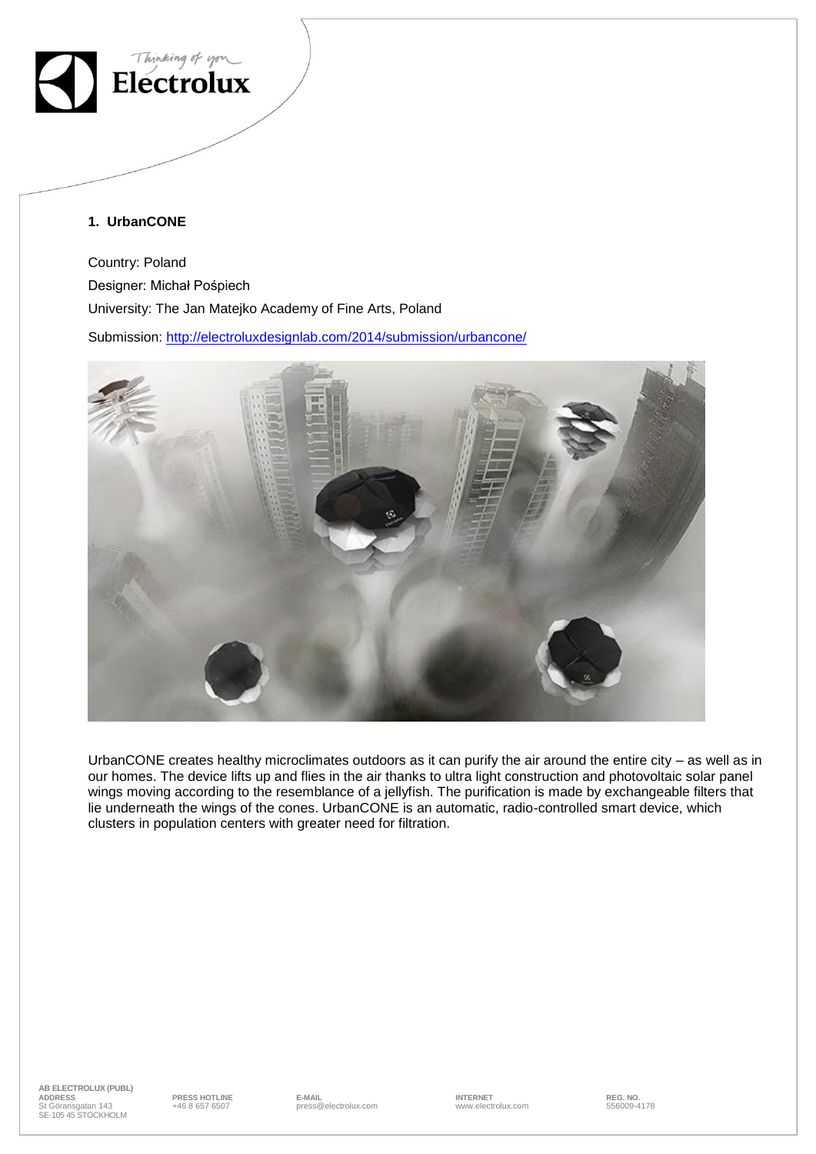

### **1. UrbanCONE**

Country: Poland Designer: Michał Pośpiech University: The Jan Matejko Academy of Fine Arts, Poland

Submission:<http://electroluxdesignlab.com/2014/submission/urbancone/>



UrbanCONE creates healthy microclimates outdoors as it can purify the air around the entire city – as well as in our homes. The device lifts up and flies in the air thanks to ultra light construction and photovoltaic solar panel wings moving according to the resemblance of a jellyfish. The purification is made by exchangeable filters that lie underneath the wings of the cones. UrbanCONE is an automatic, radio-controlled smart device, which clusters in population centers with greater need for filtration.

**AB ELECTROLUX (PUBL) ADDRESS PRESS HOTLINE E-MAIL INTERNET REG. NO.** +46 8 657 6507 press@electrolux.com www.electrolux.com 556009-4178 ADDRESS<br>St Göransgatan 143 SE-105 45 STOCKHOLM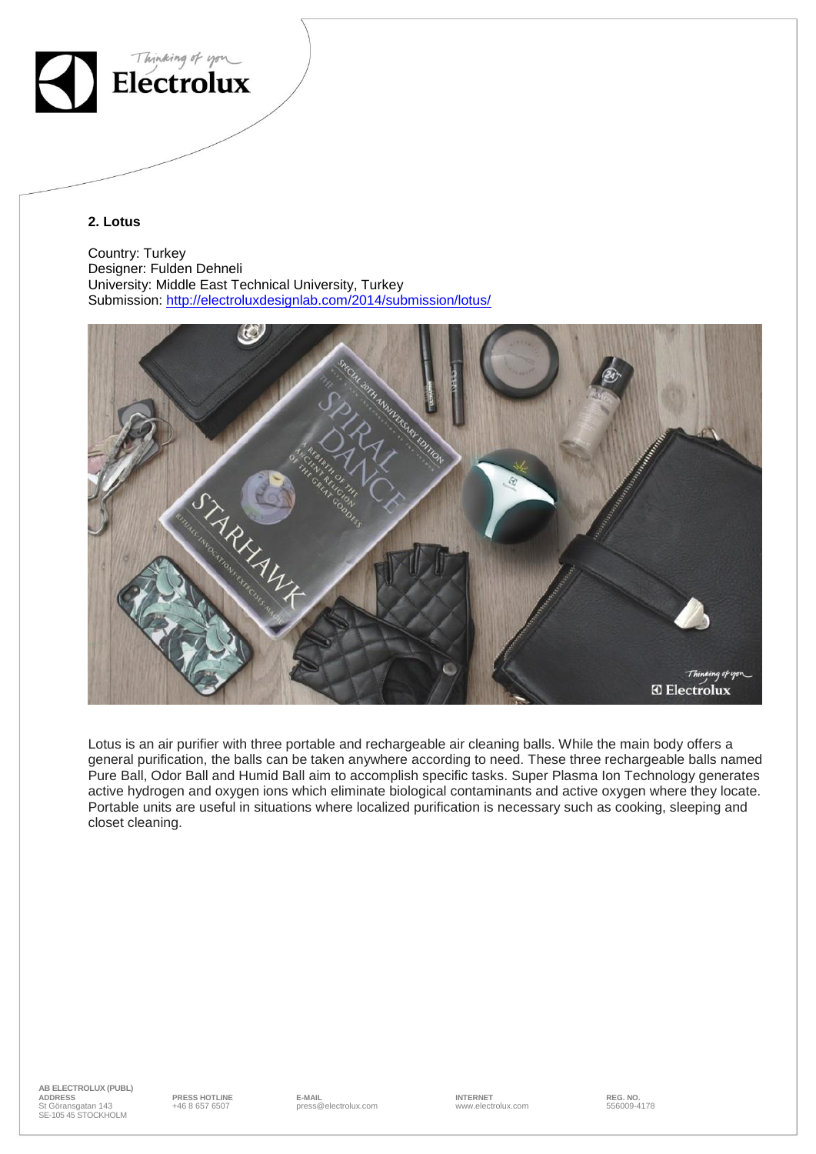

#### **2. Lotus**

Country: Turkey Designer: Fulden Dehneli University: Middle East Technical University, Turkey Submission:<http://electroluxdesignlab.com/2014/submission/lotus/>



Lotus is an air purifier with three portable and rechargeable air cleaning balls. While the main body offers a general purification, the balls can be taken anywhere according to need. These three rechargeable balls named Pure Ball, Odor Ball and Humid Ball aim to accomplish specific tasks. Super Plasma Ion Technology generates active hydrogen and oxygen ions which eliminate biological contaminants and active oxygen where they locate. Portable units are useful in situations where localized purification is necessary such as cooking, sleeping and closet cleaning.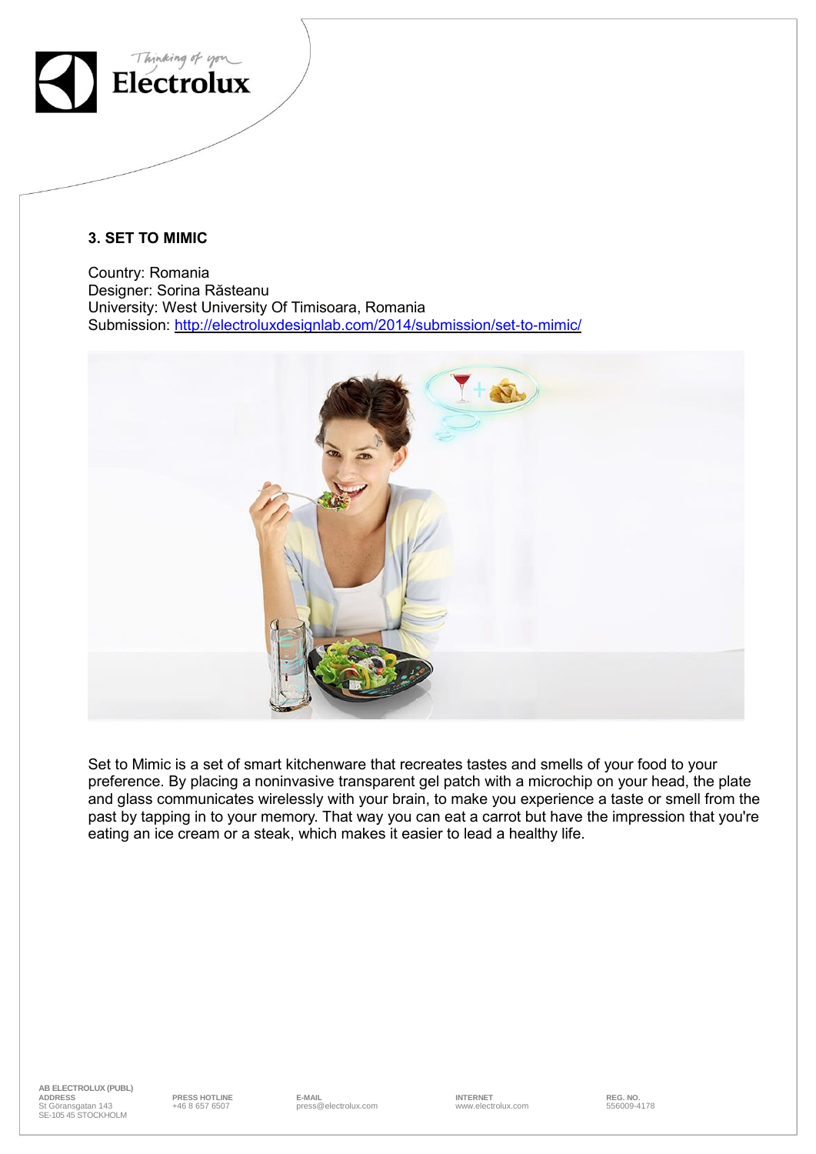

# **3. SET TO MIMIC**

Country: Romania Designer: Sorina Răsteanu University: West University Of Timisoara, Romania Submission: <http://electroluxdesignlab.com/2014/submission/set-to-mimic/>



Set to Mimic is a set of smart kitchenware that recreates tastes and smells of your food to your preference. By placing a noninvasive transparent gel patch with a microchip on your head, the plate and glass communicates wirelessly with your brain, to make you experience a taste or smell from the past by tapping in to your memory. That way you can eat a carrot but have the impression that you're eating an ice cream or a steak, which makes it easier to lead a healthy life.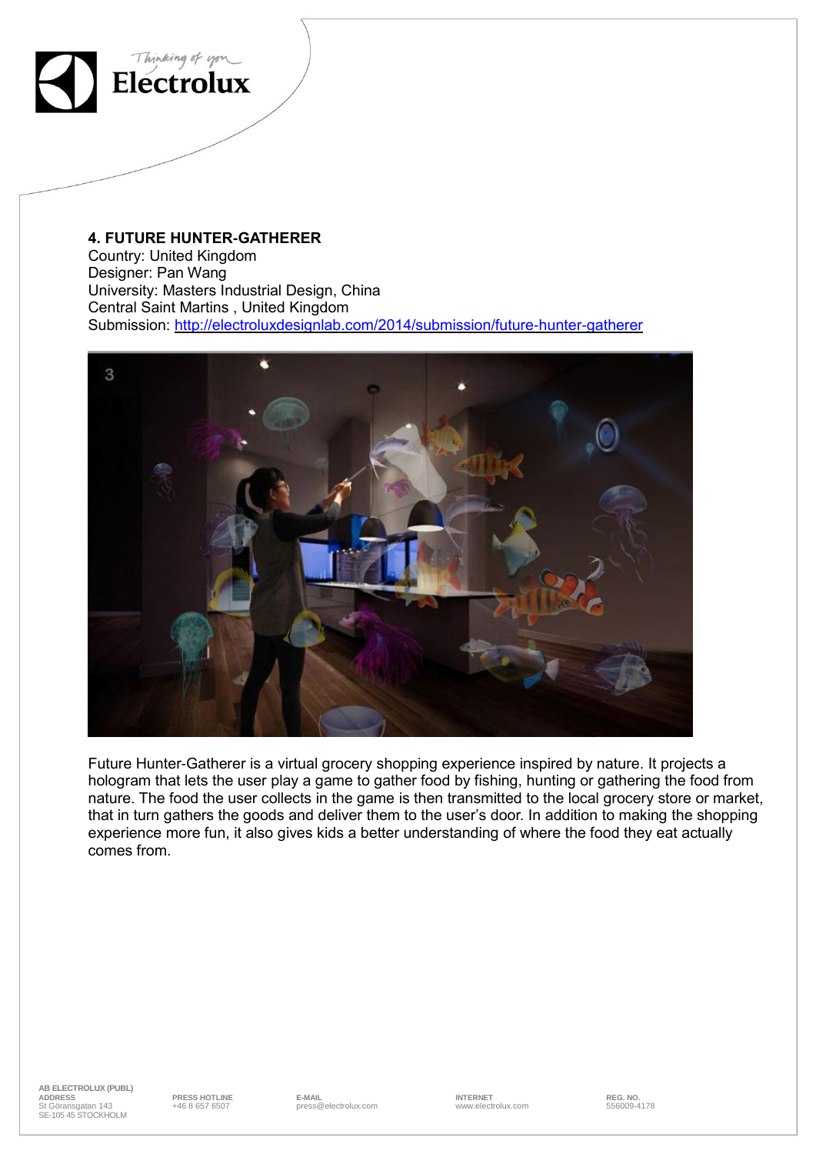

### **4. FUTURE HUNTER-GATHERER**

Country: United Kingdom Designer: Pan Wang University: Masters Industrial Design, China Central Saint Martins , United Kingdom Submission: <http://electroluxdesignlab.com/2014/submission/future-hunter-gatherer>



Future Hunter-Gatherer is a virtual grocery shopping experience inspired by nature. It projects a hologram that lets the user play a game to gather food by fishing, hunting or gathering the food from nature. The food the user collects in the game is then transmitted to the local grocery store or market, that in turn gathers the goods and deliver them to the user's door. In addition to making the shopping experience more fun, it also gives kids a better understanding of where the food they eat actually comes from.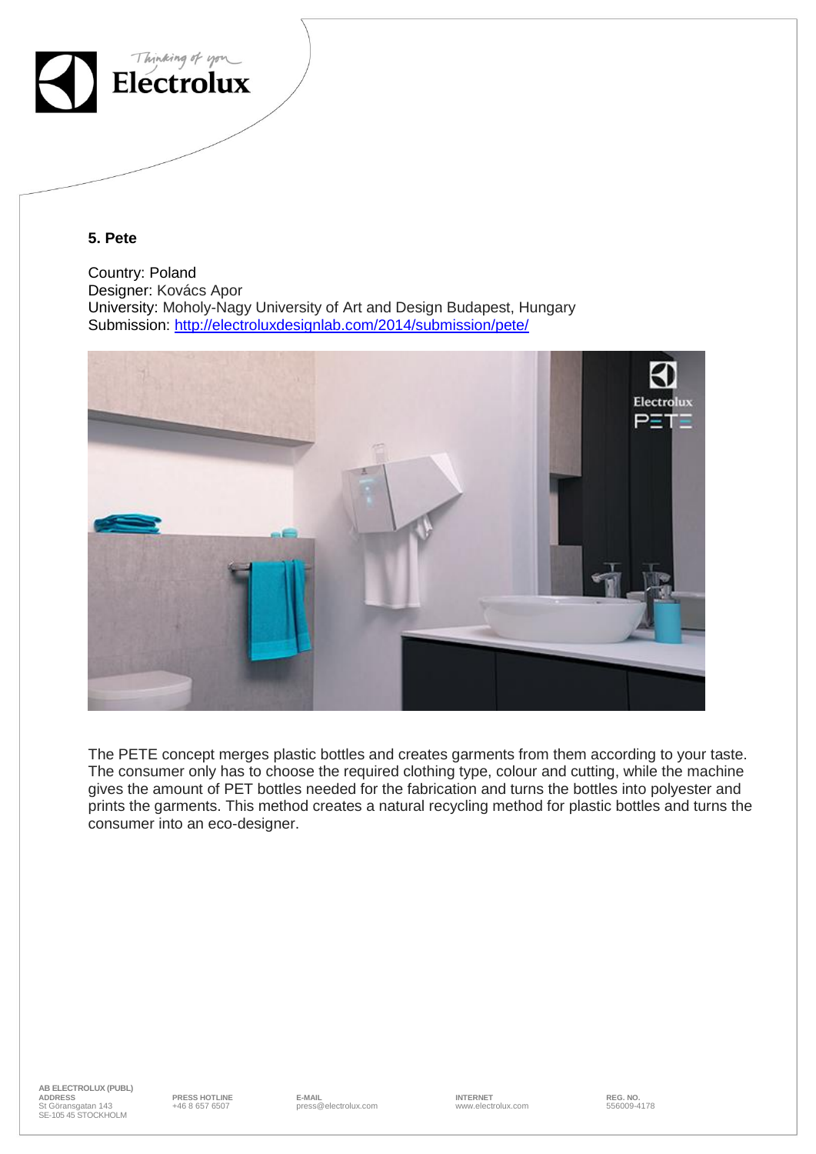

## **5. Pete**

Country: Poland Designer: Kovács Apor University: Moholy-Nagy University of Art and Design Budapest, Hungary Submission:<http://electroluxdesignlab.com/2014/submission/pete/>



The PETE concept merges plastic bottles and creates garments from them according to your taste. The consumer only has to choose the required clothing type, colour and cutting, while the machine gives the amount of PET bottles needed for the fabrication and turns the bottles into polyester and prints the garments. This method creates a natural recycling method for plastic bottles and turns the consumer into an eco-designer.